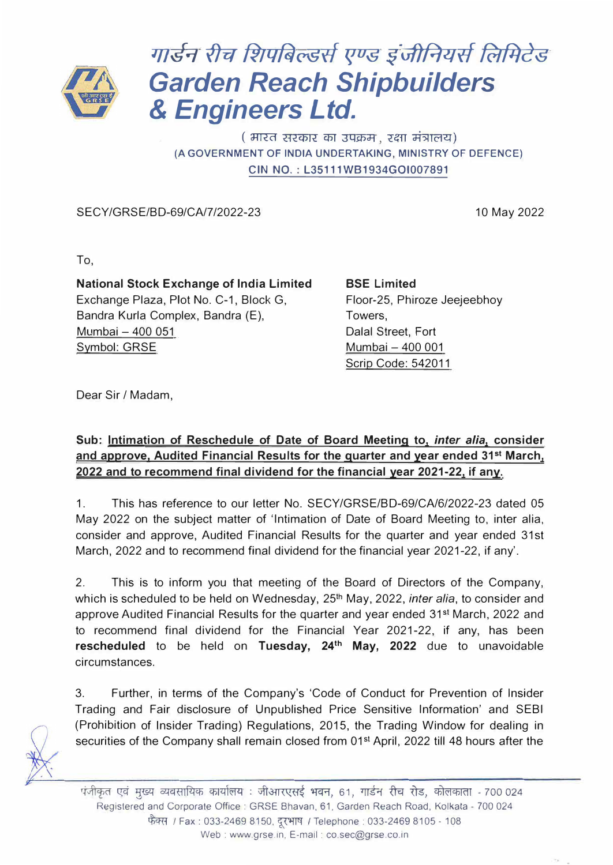

## *J//�ry #rf fi",q�crSfl (./US �-u/JPJ21tl �files Garden Reach Shipbuilders*  & *Engineers Ltd.*

( भारत सरकार का उपक्रम), रक्षा मंत्रालय) **(A GOVERNMENT OF INDIA UNDERTAKING, MINISTRY OF DEFENCE) CIN NO.: L35111WB1934GOI007891** 

SECY/GRSE/BD-69/CA/7/2022-23

10 May 2022

To,

**National Stock Exchange of India Limited**  Exchange Plaza, Plot No. C-1, Block G, Bandra Kurla Complex, Bandra (E), Mumbai – 400 051 Symbol: GRSE

**BSE Limited**  Floor-25, Phiroze Jeejeebhoy Towers, Dalal Street, Fort Mumbai - 400 001 Scrip Code: 542011

Dear Sir / Madam,

**Sub: Intimation of Reschedule of Date of Board Meeting to,** *inter alia,* **consider and approve, Audited Financial Results for the quarter and year ended 31st March, 2022 and to recommend final dividend for the financial year 2021-22, if any.** 

1. This has reference to our letter No. SECY/GRSE/BD-69/CA/6/2022-23 dated 05 May 2022 on the subject matter of 'Intimation of Date of Board Meeting to, inter alia, consider and approve, Audited Financial Results for the quarter and year ended 31st March, 2022 and to recommend final dividend for the financial year 2021-22, if any'.

2. This is to inform you that meeting of the Board of Directors of the Company, which is scheduled to be held on Wednesday, 25<sup>th</sup> May, 2022, *inter alia*, to consider and approve Audited Financial Results for the quarter and year ended 31st March, 2022 and to recommend final dividend for the Financial Year 2021-22, if any, has been **rescheduled** to be held on **Tuesday, 24th May, 2022** due to unavoidable circumstances.

3. Further, in terms of the Company's 'Code of Conduct for Prevention of Insider Trading and Fair disclosure of Unpublished Price Sensitive Information' and SEBI (Prohibition of Insider Trading) Regulations, 2015, the Trading Window for dealing in securities of the Company shall remain closed from 01<sup>st</sup> April, 2022 till 48 hours after the



पंजीकृत एवं मुख्य व्यवसायिक कार्यालय : जीआरएसई भवन, 61, गार्डन रीच रोड, कोलकाता - 700 024 Registered and Corporate Office: GRSE Bhavan, 61, Garden Reach Road, Kolkata - 700 024 � *I* Fax: 033-2469 8150, � /Telephone: 033-2469 8105 - <sup>108</sup> Web : www.grse.in, E-mail : co.sec@grse.co.in